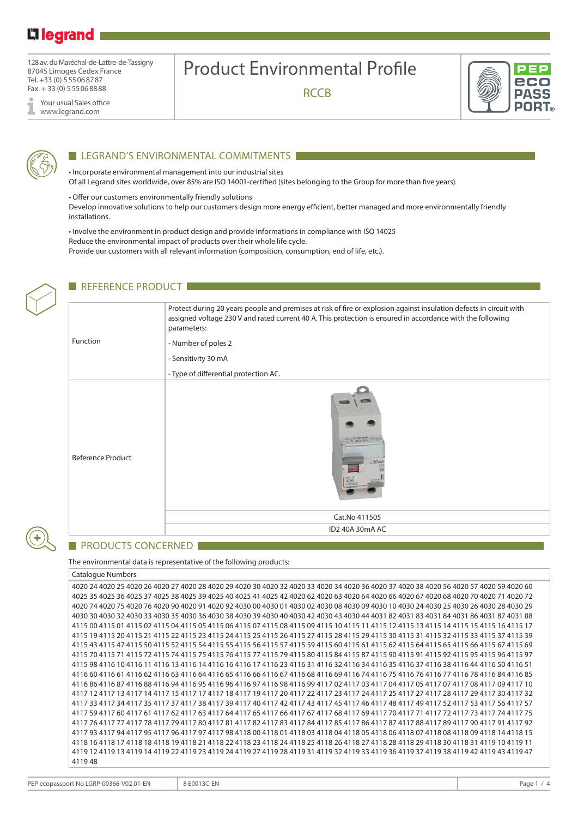# L<sub>legrand</sub>

128 av. du Maréchal-de-Lattre-de-Tassigny 87045 Limoges Cedex France Tel. +33 (0) 555068787 Fax. + 33 (0) 555068888

Your usual Sales office I www.legrand.com

# Product Environmental Profile

**RCCB** 





## LEGRAND'S ENVIRONMENTAL COMMITMENTS

• Incorporate environmental management into our industrial sites Of all Legrand sites worldwide, over 85% are ISO 14001-certified (sites belonging to the Group for more than five years).

• Offer our customers environmentally friendly solutions

Develop innovative solutions to help our customers design more energy efficient, better managed and more environmentally friendly installations.

• Involve the environment in product design and provide informations in compliance with ISO 14025 Reduce the environmental impact of products over their whole life cycle. Provide our customers with all relevant information (composition, consumption, end of life, etc.).



## REFERENCE PRODUCT

| Function                 | Protect during 20 years people and premises at risk of fire or explosion against insulation defects in circuit with<br>assigned voltage 230 V and rated current 40 A. This protection is ensured in accordance with the following<br>parameters:<br>- Number of poles 2<br>- Sensitivity 30 mA<br>- Type of differential protection AC. |  |  |  |  |  |
|--------------------------|-----------------------------------------------------------------------------------------------------------------------------------------------------------------------------------------------------------------------------------------------------------------------------------------------------------------------------------------|--|--|--|--|--|
| <b>Reference Product</b> | 30mA<br>40A                                                                                                                                                                                                                                                                                                                             |  |  |  |  |  |
|                          | Cat.No 411505                                                                                                                                                                                                                                                                                                                           |  |  |  |  |  |
|                          | ID2 40A 30mA AC                                                                                                                                                                                                                                                                                                                         |  |  |  |  |  |

### **PRODUCTS CONCERNED**

The environmental data is representative of the following products:

Catalogue Numbers

| 4020 24 4020 25 4020 26 4020 27 4020 28 4020 29 4020 30 4020 32 4020 33 4020 34 4020 36 4020 37 4020 38 4020 56 4020 57 4020 59 4020 60                                                                                         |  |
|---------------------------------------------------------------------------------------------------------------------------------------------------------------------------------------------------------------------------------|--|
| 4025 35 4025 36 4025 37 4025 38 4025 39 4025 40 4025 41 4025 42 4020 62 4020 63 4020 64 4020 66 4020 67 4020 68 4020 70 4020 71 4020 72                                                                                         |  |
| 4020 4630 26 4030 26 4030 26 4030 20 4030 20 4030 20 4030 20 4030 20 4040 20 4040 20 4040 20 4040 20 4040 20 4040 20 4040 20 4040 20 4040 20 4040 20 4040 20 4040 20 4040 20 4040 20 4040 20 4040 20 4040 20 4040 20 4040 20 40 |  |
| 4030 30 4030 32 4030 33 4030 35 4030 36 4030 38 4030 39 4030 40 4030 42 4030 43 4030 44 4031 82 4031 83 4031 84 4031 86 4031 87 4031 88                                                                                         |  |
| 4115 00 4115 01 4115 02 4115 04 4115 05 4115 06 4115 07 4115 08 4115 09 4115 10 4115 11 4115 12 4115 13 4115 14 4115 15 4115 16 4115 17                                                                                         |  |
| 4115 19 4115 20 4115 21 4115 22 4115 23 4115 24 4115 25 4115 26 4115 27 4115 28 4115 29 4115 30 4115 31 4115 32 4115 33 4115 37 4115 39                                                                                         |  |
| 4115 43 4115 47 4115 50 4115 52 4115 54 4115 55 4115 56 4115 57 4115 59 4115 60 4115 61 4115 62 4115 64 4115 65 4115 66 4115 67 4115 69                                                                                         |  |
| 4115 70 4115 71 4115 72 4115 74 4115 75 4115 76 4115 77 4115 79 4115 80 4115 84 4115 87 4115 90 4115 91 4115 92 4115 95 4115 96 4115 97                                                                                         |  |
| 4115 98 4116 10 4116 11 4116 13 4116 14 4116 16 4116 17 4116 23 4116 31 4116 32 4116 34 4116 35 4116 37 4116 38 4116 44 4116 50 4116 51                                                                                         |  |
| 4116 60 4116 61 4116 62 4116 63 4116 64 4116 65 4116 66 4116 67 4116 68 4116 69 4116 74 4116 75 4116 76 4116 77 4116 78 4116 84 4116 85                                                                                         |  |
| 4116 86 4116 87 4116 88 4116 94 4116 95 4116 96 4116 97 4116 98 4116 99 4117 02 4117 03 4117 04 4117 05 4117 07 4117 08 4117 09 4117 10                                                                                         |  |
| 4117 12 4117 13 4117 14 4117 15 4117 17 4117 18 4117 19 4117 20 4117 22 4117 23 4117 24 4117 25 4117 27 4117 28 4117 29 4117 30 4117 32                                                                                         |  |
| 4117 33 4117 34 4117 35 4117 37 4117 38 4117 39 4117 40 4117 42 4117 43 4117 45 4117 46 4117 48 4117 49 4117 52 4117 53 4117 56 4117 57                                                                                         |  |
| 4117 59 4117 60 4117 61 4117 62 4117 63 4117 64 4117 65 4117 66 4117 67 4117 68 4117 69 4117 70 4117 71 4117 72 4117 73 4117 74 4117 75                                                                                         |  |
| 4117 76 4117 77 4117 78 4117 79 4117 80 4117 81 4117 82 4117 83 4117 84 4117 85 4117 86 4117 87 4117 88 4117 89 4117 90 4117 91 4117 92                                                                                         |  |
| 4117 93 4117 94 4117 95 4117 96 4117 97 4117 98 4118 00 4118 01 4118 03 4118 04 4118 05 4118 06 4118 07 4118 08 4118 09 4118 14 4118 15                                                                                         |  |
| 4118 16 4118 17 4118 18 4118 19 4118 21 4118 22 4118 23 4118 24 4118 25 4118 26 4118 27 4118 28 4118 29 4118 30 4118 31 4119 10 4119 11                                                                                         |  |
| 4119 12 4119 13 4119 14 4119 22 4119 23 4119 24 4119 27 4119 28 4119 31 4119 32 4119 33 4119 36 4119 37 4119 38 4119 42 4119 43 4119 47                                                                                         |  |
| 411948                                                                                                                                                                                                                          |  |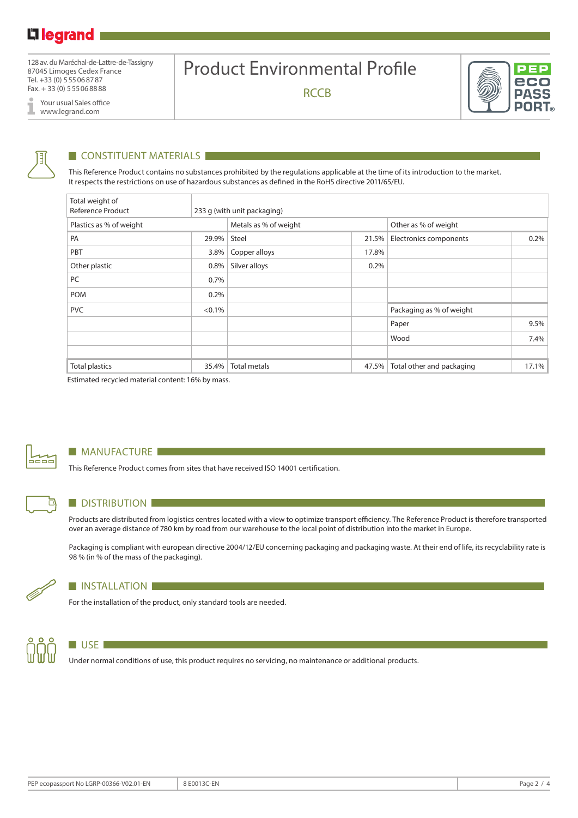128 av. du Maréchal-de-Lattre-de-Tassigny 87045 Limoges Cedex France Tel. +33 (0) 555068787 Fax. + 33 (0) 555068888

Your usual Sales office I www.legrand.com

# Product Environmental Profile

**RCCB** 





## **CONSTITUENT MATERIALS**

This Reference Product contains no substances prohibited by the regulations applicable at the time of its introduction to the market. It respects the restrictions on use of hazardous substances as defined in the RoHS directive 2011/65/EU.

| Total weight of<br><b>Reference Product</b> |           | 233 g (with unit packaging) |       |                           |       |  |  |
|---------------------------------------------|-----------|-----------------------------|-------|---------------------------|-------|--|--|
| Plastics as % of weight                     |           | Metals as % of weight       |       | Other as % of weight      |       |  |  |
| PA                                          | 29.9%     | Steel                       | 21.5% | Electronics components    | 0.2%  |  |  |
| PBT                                         | 3.8%      | Copper alloys               | 17.8% |                           |       |  |  |
| Other plastic                               | 0.8%      | Silver alloys               | 0.2%  |                           |       |  |  |
| PC                                          | 0.7%      |                             |       |                           |       |  |  |
| <b>POM</b>                                  | 0.2%      |                             |       |                           |       |  |  |
| <b>PVC</b>                                  | $< 0.1\%$ |                             |       | Packaging as % of weight  |       |  |  |
|                                             |           |                             |       | Paper                     | 9.5%  |  |  |
|                                             |           |                             |       | Wood                      | 7.4%  |  |  |
|                                             |           |                             |       |                           |       |  |  |
| <b>Total plastics</b>                       | 35.4%     | <b>Total metals</b>         | 47.5% | Total other and packaging | 17.1% |  |  |

Estimated recycled material content: 16% by mass.



⊓

#### **MANUFACTURE**

This Reference Product comes from sites that have received ISO 14001 certification.

### **DISTRIBUTION**

Products are distributed from logistics centres located with a view to optimize transport efficiency. The Reference Product is therefore transported over an average distance of 780 km by road from our warehouse to the local point of distribution into the market in Europe.

Packaging is compliant with european directive 2004/12/EU concerning packaging and packaging waste. At their end of life, its recyclability rate is 98 % (in % of the mass of the packaging).



#### **INSTALLATION**

For the installation of the product, only standard tools are needed.



#### $\blacksquare$  USE

Under normal conditions of use, this product requires no servicing, no maintenance or additional products.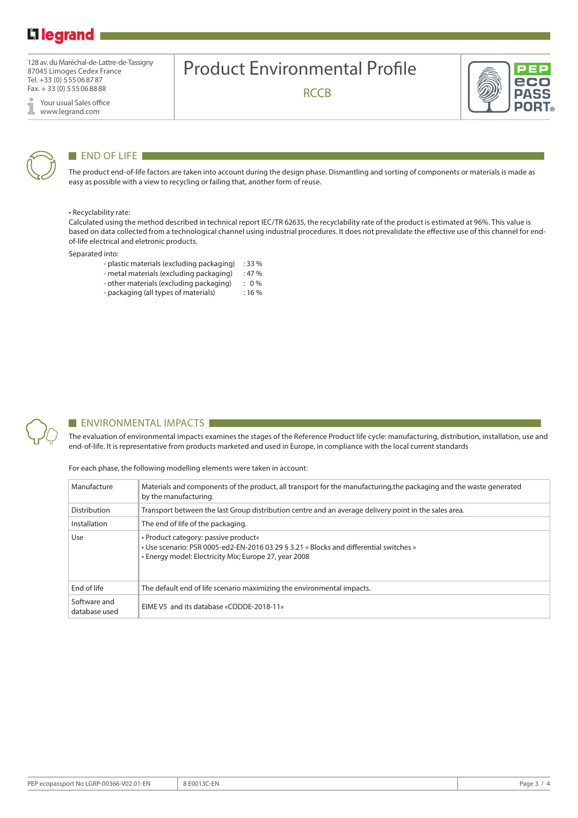# Li legrand

128 av. du Maréchal-de-Lattre-de-Tassigny 87045 Limoges Cedex France Tel. +33 (0) 555068787 Fax. + 33 (0) 555068888

Your usual Sales office I www.legrand.com



### END OF LIFE

The product end-of-life factors are taken into account during the design phase. Dismantling and sorting of components or materials is made as easy as possible with a view to recycling or failing that, another form of reuse.

Product Environmental Profile

**RCCB** 

#### • Recyclability rate:

Calculated using the method described in technical report IEC/TR 62635, the recyclability rate of the product is estimated at 96%. This value is based on data collected from a technological channel using industrial procedures. It does not prevalidate the effective use of this channel for endof-life electrical and eletronic products.

Separated into:

- plastic materials (excluding packaging) : 33 %
- metal materials (excluding packaging) : 47 %
- other materials (excluding packaging) : 0 %
- packaging (all types of materials) : 16 %



#### **ENVIRONMENTAL IMPACTS**

The evaluation of environmental impacts examines the stages of the Reference Product life cycle: manufacturing, distribution, installation, use and end-of-life. It is representative from products marketed and used in Europe, in compliance with the local current standards

For each phase, the following modelling elements were taken in account:

| Manufacture                   | Materials and components of the product, all transport for the manufacturing, the packaging and the waste generated<br>by the manufacturing.                                            |  |  |  |  |
|-------------------------------|-----------------------------------------------------------------------------------------------------------------------------------------------------------------------------------------|--|--|--|--|
| Distribution                  | Transport between the last Group distribution centre and an average delivery point in the sales area.                                                                                   |  |  |  |  |
| Installation                  | The end of life of the packaging.                                                                                                                                                       |  |  |  |  |
| Use                           | • Product category: passive product«<br>• Use scenario: PSR 0005-ed2-EN-2016 03 29 § 3.21 « Blocks and differential switches »<br>• Energy model: Electricity Mix; Europe 27, year 2008 |  |  |  |  |
| End of life                   | The default end of life scenario maximizing the environmental impacts.                                                                                                                  |  |  |  |  |
| Software and<br>database used | EIME V5 and its database «CODDE-2018-11»                                                                                                                                                |  |  |  |  |